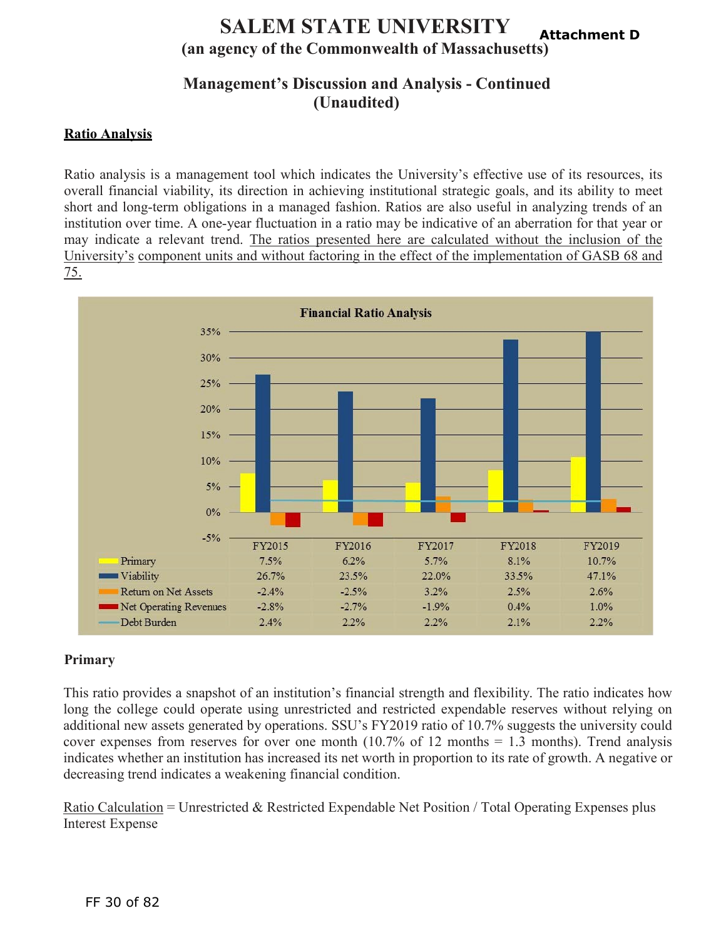#### **SALEM STATE UNIVERSITY (an agency of the Commonwealth of Massachusetts) Attachment D**

# **Management's Discussion and Analysis - Continued (Unaudited)**

## **Ratio Analysis**

Ratio analysis is a management tool which indicates the University's effective use of its resources, its overall financial viability, its direction in achieving institutional strategic goals, and its ability to meet short and long-term obligations in a managed fashion. Ratios are also useful in analyzing trends of an institution over time. A one-year fluctuation in a ratio may be indicative of an aberration for that year or may indicate a relevant trend. The ratios presented here are calculated without the inclusion of the University's component units and without factoring in the effect of the implementation of GASB 68 and 75.



## **Primary**

This ratio provides a snapshot of an institution's financial strength and flexibility. The ratio indicates how long the college could operate using unrestricted and restricted expendable reserves without relying on additional new assets generated by operations. SSU's FY2019 ratio of 10.7% suggests the university could cover expenses from reserves for over one month  $(10.7\%$  of 12 months = 1.3 months). Trend analysis indicates whether an institution has increased its net worth in proportion to its rate of growth. A negative or decreasing trend indicates a weakening financial condition.

Ratio Calculation = Unrestricted & Restricted Expendable Net Position / Total Operating Expenses plus Interest Expense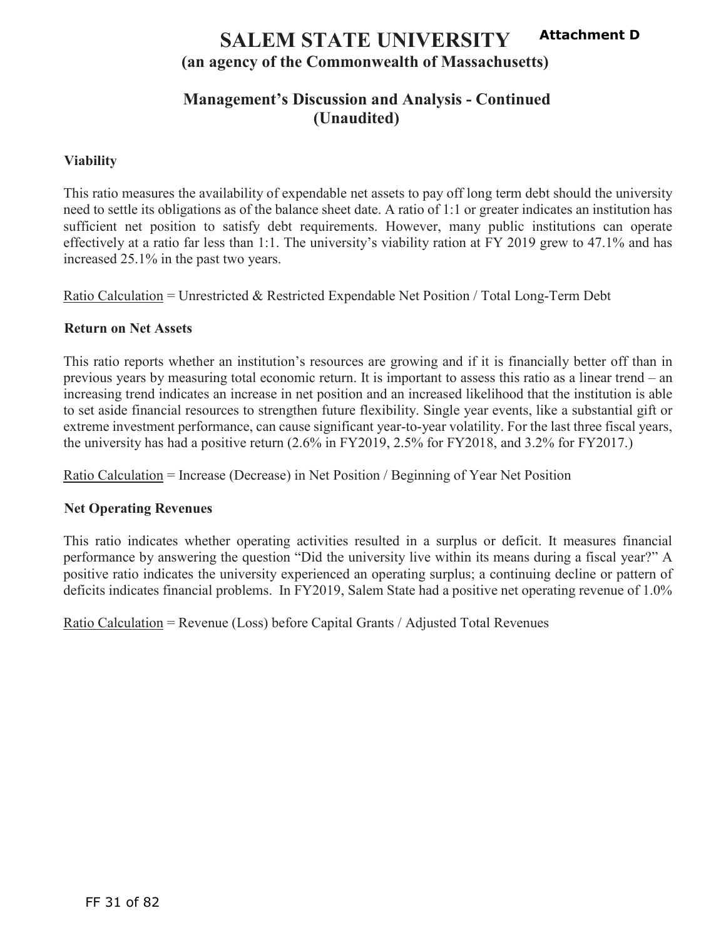#### **SALEM STATE UNIVERSITY (an agency of the Commonwealth of Massachusetts) Attachment D**

# **Management's Discussion and Analysis - Continued (Unaudited)**

### **Viability**

This ratio measures the availability of expendable net assets to pay off long term debt should the university need to settle its obligations as of the balance sheet date. A ratio of 1:1 or greater indicates an institution has sufficient net position to satisfy debt requirements. However, many public institutions can operate effectively at a ratio far less than 1:1. The university's viability ration at FY 2019 grew to 47.1% and has increased 25.1% in the past two years.

Ratio Calculation = Unrestricted & Restricted Expendable Net Position / Total Long-Term Debt

### **Return on Net Assets**

This ratio reports whether an institution's resources are growing and if it is financially better off than in previous years by measuring total economic return. It is important to assess this ratio as a linear trend – an increasing trend indicates an increase in net position and an increased likelihood that the institution is able to set aside financial resources to strengthen future flexibility. Single year events, like a substantial gift or extreme investment performance, can cause significant year-to-year volatility. For the last three fiscal years, the university has had a positive return (2.6% in FY2019, 2.5% for FY2018, and 3.2% for FY2017.)

Ratio Calculation = Increase (Decrease) in Net Position / Beginning of Year Net Position

### **Net Operating Revenues**

This ratio indicates whether operating activities resulted in a surplus or deficit. It measures financial performance by answering the question "Did the university live within its means during a fiscal year?" A positive ratio indicates the university experienced an operating surplus; a continuing decline or pattern of deficits indicates financial problems. In FY2019, Salem State had a positive net operating revenue of 1.0%

Ratio Calculation = Revenue (Loss) before Capital Grants / Adjusted Total Revenues